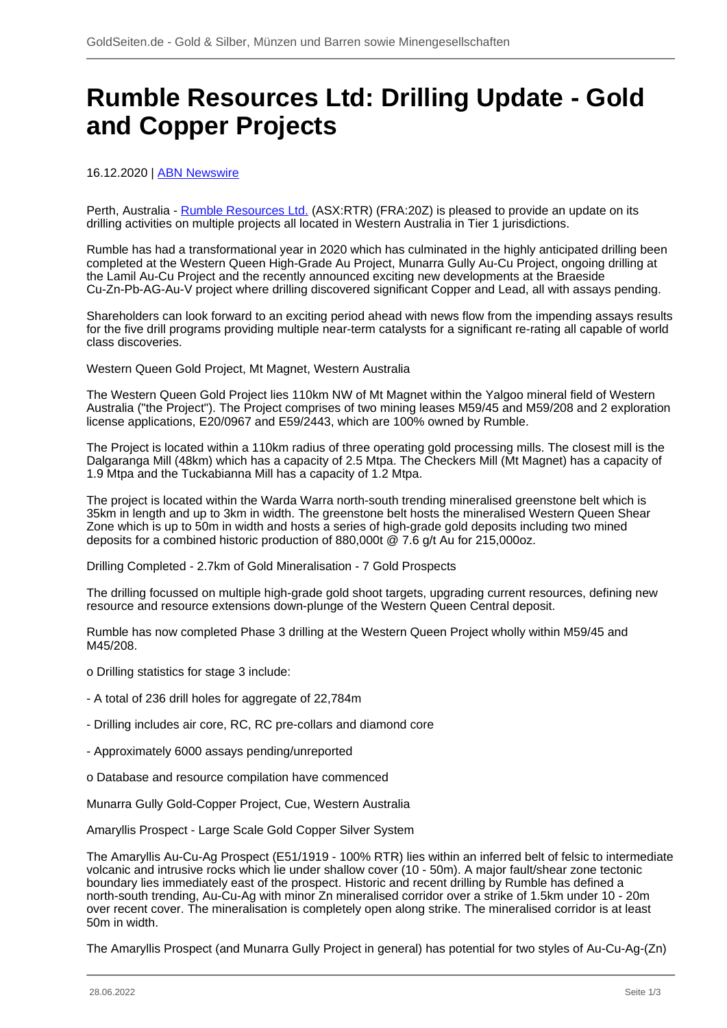## **Rumble Resources Ltd: Drilling Update - Gold and Copper Projects**

## 16.12.2020 | **ABN Newswire**

Perth, Australia - [Rumble Resources Ltd.](/minen/3554--Rumble-Resources-Ltd) (ASX:RTR) (FRA:20Z) is pleased to provide an update on its drilling activities on multiple projects all located in Western Australia in Tier 1 jurisdictions.

Rumble has had a transformational year in 2020 which has culminated in the highly anticipated drilling been completed at the Western Queen High-Grade Au Project, Munarra Gully Au-Cu Project, ongoing drilling at the Lamil Au-Cu Project and the recently announced exciting new developments at the Braeside Cu-Zn-Pb-AG-Au-V project where drilling discovered significant Copper and Lead, all with assays pending.

Shareholders can look forward to an exciting period ahead with news flow from the impending assays results for the five drill programs providing multiple near-term catalysts for a significant re-rating all capable of world class discoveries.

Western Queen Gold Project, Mt Magnet, Western Australia

The Western Queen Gold Project lies 110km NW of Mt Magnet within the Yalgoo mineral field of Western Australia ("the Project"). The Project comprises of two mining leases M59/45 and M59/208 and 2 exploration license applications, E20/0967 and E59/2443, which are 100% owned by Rumble.

The Project is located within a 110km radius of three operating gold processing mills. The closest mill is the Dalgaranga Mill (48km) which has a capacity of 2.5 Mtpa. The Checkers Mill (Mt Magnet) has a capacity of 1.9 Mtpa and the Tuckabianna Mill has a capacity of 1.2 Mtpa.

The project is located within the Warda Warra north-south trending mineralised greenstone belt which is 35km in length and up to 3km in width. The greenstone belt hosts the mineralised Western Queen Shear Zone which is up to 50m in width and hosts a series of high-grade gold deposits including two mined deposits for a combined historic production of 880,000t @ 7.6 g/t Au for 215,000oz.

Drilling Completed - 2.7km of Gold Mineralisation - 7 Gold Prospects

The drilling focussed on multiple high-grade gold shoot targets, upgrading current resources, defining new resource and resource extensions down-plunge of the Western Queen Central deposit.

Rumble has now completed Phase 3 drilling at the Western Queen Project wholly within M59/45 and M45/208.

- o Drilling statistics for stage 3 include:
- A total of 236 drill holes for aggregate of 22,784m
- Drilling includes air core, RC, RC pre-collars and diamond core
- Approximately 6000 assays pending/unreported
- o Database and resource compilation have commenced

Munarra Gully Gold-Copper Project, Cue, Western Australia

Amaryllis Prospect - Large Scale Gold Copper Silver System

The Amaryllis Au-Cu-Ag Prospect (E51/1919 - 100% RTR) lies within an inferred belt of felsic to intermediate volcanic and intrusive rocks which lie under shallow cover (10 - 50m). A major fault/shear zone tectonic boundary lies immediately east of the prospect. Historic and recent drilling by Rumble has defined a north-south trending, Au-Cu-Ag with minor Zn mineralised corridor over a strike of 1.5km under 10 - 20m over recent cover. The mineralisation is completely open along strike. The mineralised corridor is at least 50m in width.

The Amaryllis Prospect (and Munarra Gully Project in general) has potential for two styles of Au-Cu-Ag-(Zn)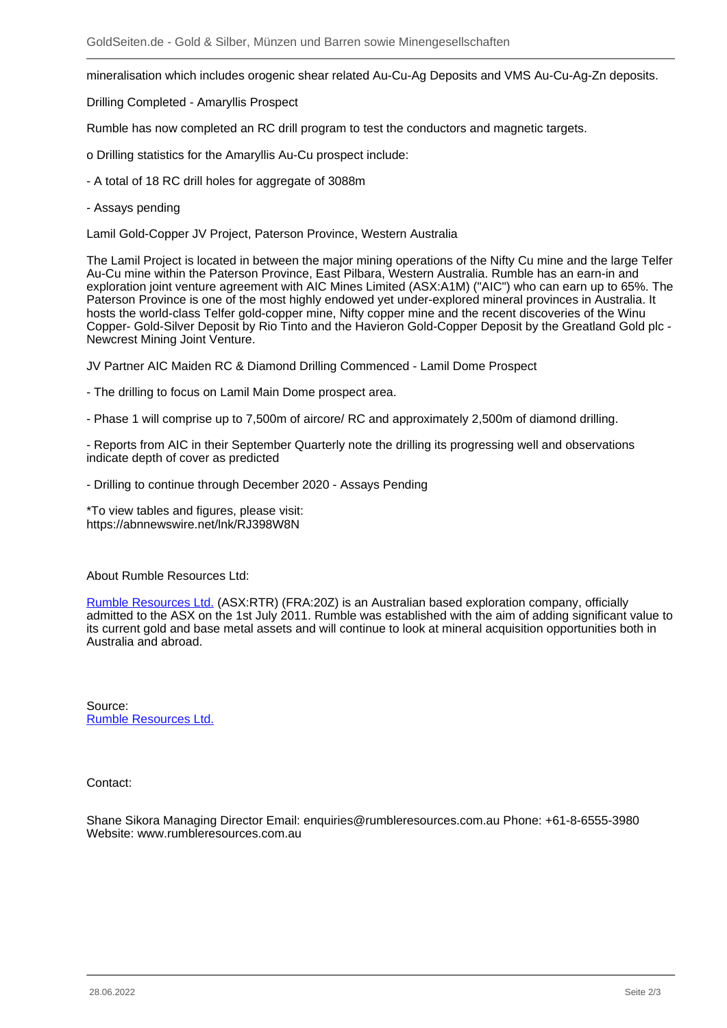mineralisation which includes orogenic shear related Au-Cu-Ag Deposits and VMS Au-Cu-Ag-Zn deposits.

Drilling Completed - Amaryllis Prospect

Rumble has now completed an RC drill program to test the conductors and magnetic targets.

- o Drilling statistics for the Amaryllis Au-Cu prospect include:
- A total of 18 RC drill holes for aggregate of 3088m
- Assays pending

Lamil Gold-Copper JV Project, Paterson Province, Western Australia

The Lamil Project is located in between the major mining operations of the Nifty Cu mine and the large Telfer Au-Cu mine within the Paterson Province, East Pilbara, Western Australia. Rumble has an earn-in and exploration joint venture agreement with AIC Mines Limited (ASX:A1M) ("AIC") who can earn up to 65%. The Paterson Province is one of the most highly endowed yet under-explored mineral provinces in Australia. It hosts the world-class Telfer gold-copper mine, Nifty copper mine and the recent discoveries of the Winu Copper- Gold-Silver Deposit by Rio Tinto and the Havieron Gold-Copper Deposit by the Greatland Gold plc - Newcrest Mining Joint Venture.

JV Partner AIC Maiden RC & Diamond Drilling Commenced - Lamil Dome Prospect

- The drilling to focus on Lamil Main Dome prospect area.
- Phase 1 will comprise up to 7,500m of aircore/ RC and approximately 2,500m of diamond drilling.

- Reports from AIC in their September Quarterly note the drilling its progressing well and observations indicate depth of cover as predicted

- Drilling to continue through December 2020 - Assays Pending

\*To view tables and figures, please visit: https://abnnewswire.net/lnk/RJ398W8N

About Rumble Resources Ltd:

[Rumble Resources Ltd.](/minen/3554--Rumble-Resources-Ltd) (ASX:RTR) (FRA:20Z) is an Australian based exploration company, officially admitted to the ASX on the 1st July 2011. Rumble was established with the aim of adding significant value to its current gold and base metal assets and will continue to look at mineral acquisition opportunities both in Australia and abroad.

Source: [Rumble Resources Ltd.](/minen/3554--Rumble-Resources-Ltd)

Contact:

Shane Sikora Managing Director Email: enquiries@rumbleresources.com.au Phone: +61-8-6555-3980 Website: www.rumbleresources.com.au